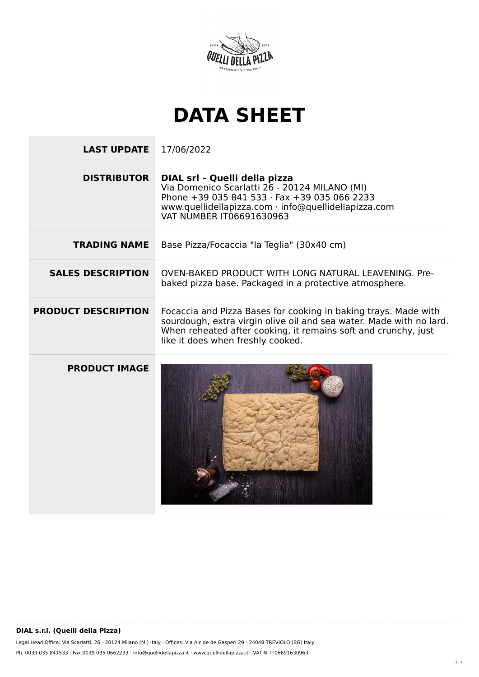

## **DATA SHEET**

**LAST UPDATE** 17/06/2022 **DISTRIBUTOR DIAL srl – Quelli della pizza** Via Domenico Scarlatti 26 - 20124 MILANO (MI) Phone +39 035 841 533 · Fax +39 035 066 2233 www.quellidellapizza.com · info@quellidellapizza.com VAT NUMBER IT06691630963 **TRADING NAME** Base Pizza/Focaccia "la Teglia" (30x40 cm) **SALES DESCRIPTION** OVEN-BAKED PRODUCT WITH LONG NATURAL LEAVENING. Prebaked pizza base. Packaged in a protective atmosphere. **PRODUCT DESCRIPTION** Focaccia and Pizza Bases for cooking in baking trays. Made with sourdough, extra virgin olive oil and sea water. Made with no lard. When reheated after cooking, it remains soft and crunchy, just like it does when freshly cooked. **PRODUCT IMAGE**

Legal Head Office: Via Scarlatti, 26 - 20124 Milano (MI) Italy · Offices: Via Alcide de Gasperi 29 - 24048 TREVIOLO (BG) Italy Ph. 0039 035 841533 · Fax 0039 035 0662233 · info@quellidellapizza.it · www.quellidellapizza.it · VAT N. IT06691630963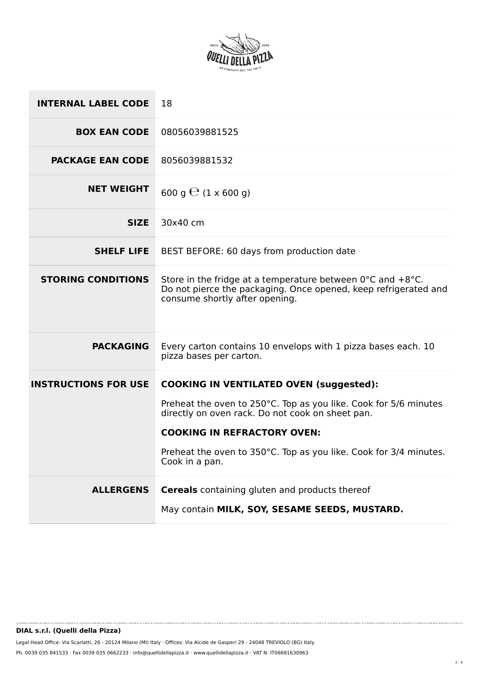

| 08056039881525<br><b>BOX EAN CODE</b>                                                                                                                                                                            |  |
|------------------------------------------------------------------------------------------------------------------------------------------------------------------------------------------------------------------|--|
| <b>PACKAGE EAN CODE</b><br>8056039881532                                                                                                                                                                         |  |
| <b>NET WEIGHT</b><br>600 g $\Theta$ (1 x 600 g)                                                                                                                                                                  |  |
| 30x40 cm<br><b>SIZE</b>                                                                                                                                                                                          |  |
| <b>SHELF LIFE</b><br>BEST BEFORE: 60 days from production date                                                                                                                                                   |  |
| <b>STORING CONDITIONS</b><br>Store in the fridge at a temperature between $0^{\circ}$ C and $+8^{\circ}$ C.<br>Do not pierce the packaging. Once opened, keep refrigerated and<br>consume shortly after opening. |  |
| <b>PACKAGING</b><br>Every carton contains 10 envelops with 1 pizza bases each. 10<br>pizza bases per carton.                                                                                                     |  |
| <b>INSTRUCTIONS FOR USE</b><br><b>COOKING IN VENTILATED OVEN (suggested):</b>                                                                                                                                    |  |
| Preheat the oven to 250°C. Top as you like. Cook for 5/6 minutes<br>directly on oven rack. Do not cook on sheet pan.                                                                                             |  |
| <b>COOKING IN REFRACTORY OVEN:</b>                                                                                                                                                                               |  |
| Preheat the oven to 350°C. Top as you like. Cook for 3/4 minutes.<br>Cook in a pan.                                                                                                                              |  |
| <b>Cereals</b> containing gluten and products thereof<br><b>ALLERGENS</b><br>May contain MILK, SOY, SESAME SEEDS, MUSTARD.                                                                                       |  |

Legal Head Office: Via Scarlatti, 26 - 20124 Milano (MI) Italy · Offices: Via Alcide de Gasperi 29 - 24048 TREVIOLO (BG) Italy Ph. 0039 035 841533 · Fax 0039 035 0662233 · info@quellidellapizza.it · www.quellidellapizza.it · VAT N. IT06691630963

..........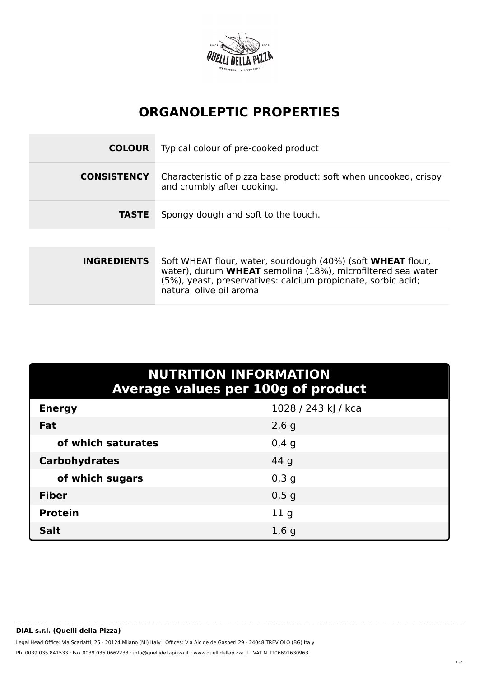

## **ORGANOLEPTIC PROPERTIES**

| <b>COLOUR</b>      | Typical colour of pre-cooked product                                                           |
|--------------------|------------------------------------------------------------------------------------------------|
| <b>CONSISTENCY</b> | Characteristic of pizza base product: soft when uncooked, crispy<br>and crumbly after cooking. |
| <b>TASTE</b>       | Spongy dough and soft to the touch.                                                            |
|                    |                                                                                                |

| Soft WHEAT flour, water, sourdough (40%) (soft WHEAT flour,<br>water), durum WHEAT semolina (18%), microfiltered sea water<br>(5%), yeast, preservatives: calcium propionate, sorbic acid;<br>natural olive oil aroma |
|-----------------------------------------------------------------------------------------------------------------------------------------------------------------------------------------------------------------------|
|                                                                                                                                                                                                                       |

| <b>NUTRITION INFORMATION</b><br><b>Average values per 100g of product</b> |                      |  |  |
|---------------------------------------------------------------------------|----------------------|--|--|
| <b>Energy</b>                                                             | 1028 / 243 kJ / kcal |  |  |
| Fat                                                                       | $2,6$ g              |  |  |
| of which saturates                                                        | 0,4,9                |  |  |
| <b>Carbohydrates</b>                                                      | 44 g                 |  |  |
| of which sugars                                                           | 0,3,9                |  |  |
| <b>Fiber</b>                                                              | 0,5g                 |  |  |
| <b>Protein</b>                                                            | 11 <sub>q</sub>      |  |  |
| <b>Salt</b>                                                               | 1,6g                 |  |  |